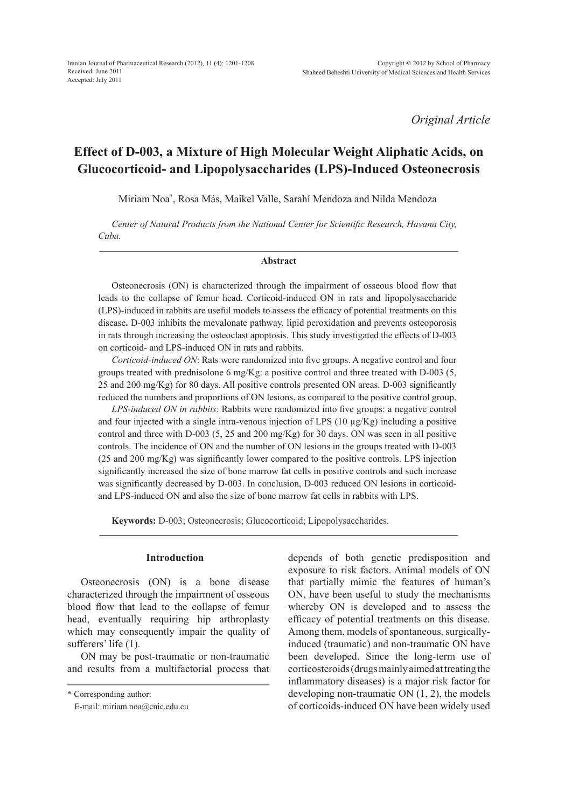*Original Article*

# **Effect of D-003, a Mixture of High Molecular Weight Aliphatic Acids, on Glucocorticoid- and Lipopolysaccharides (LPS)-Induced Osteonecrosis**

Miriam Noa\* , Rosa Más, Maikel Valle, Sarahí Mendoza and Nilda Mendoza

*Center of Natural Products from the National Center for Scientific Research, Havana City, Cuba.*

#### **Abstract**

Osteonecrosis (ON) is characterized through the impairment of osseous blood flow that leads to the collapse of femur head. Corticoid-induced ON in rats and lipopolysaccharide (LPS)-induced in rabbits are useful models to assess the efficacy of potential treatments on this disease**.** D-003 inhibits the mevalonate pathway, lipid peroxidation and prevents osteoporosis in rats through increasing the osteoclast apoptosis. This study investigated the effects of D-003 on corticoid- and LPS-induced ON in rats and rabbits.

*Corticoid-induced ON*: Rats were randomized into five groups. A negative control and four groups treated with prednisolone 6 mg/Kg: a positive control and three treated with D-003 (5, 25 and 200 mg/Kg) for 80 days. All positive controls presented ON areas. D-003 significantly reduced the numbers and proportions of ON lesions, as compared to the positive control group.

*LPS-induced ON in rabbits*: Rabbits were randomized into five groups: a negative control and four injected with a single intra-venous injection of LPS (10  $\mu$ g/Kg) including a positive control and three with D-003 (5, 25 and 200 mg/Kg) for 30 days. ON was seen in all positive controls. The incidence of ON and the number of ON lesions in the groups treated with D-003 (25 and 200 mg/Kg) was significantly lower compared to the positive controls. LPS injection significantly increased the size of bone marrow fat cells in positive controls and such increase was significantly decreased by D-003. In conclusion, D-003 reduced ON lesions in corticoidand LPS-induced ON and also the size of bone marrow fat cells in rabbits with LPS.

**Keywords:** D-003; Osteonecrosis; Glucocorticoid; Lipopolysaccharides.

#### **Introduction**

Osteonecrosis (ON) is a bone disease characterized through the impairment of osseous blood flow that lead to the collapse of femur head, eventually requiring hip arthroplasty which may consequently impair the quality of sufferers' life (1).

ON may be post-traumatic or non-traumatic and results from a multifactorial process that depends of both genetic predisposition and exposure to risk factors. Animal models of ON that partially mimic the features of human's ON, have been useful to study the mechanisms whereby ON is developed and to assess the efficacy of potential treatments on this disease. Among them, models of spontaneous, surgicallyinduced (traumatic) and non-traumatic ON have been developed. Since the long-term use of corticosteroids (drugs mainly aimed at treating the inflammatory diseases) is a major risk factor for developing non-traumatic ON (1, 2), the models of corticoids-induced ON have been widely used

<sup>\*</sup> Corresponding author:

E-mail: miriam.noa@cnic.edu.cu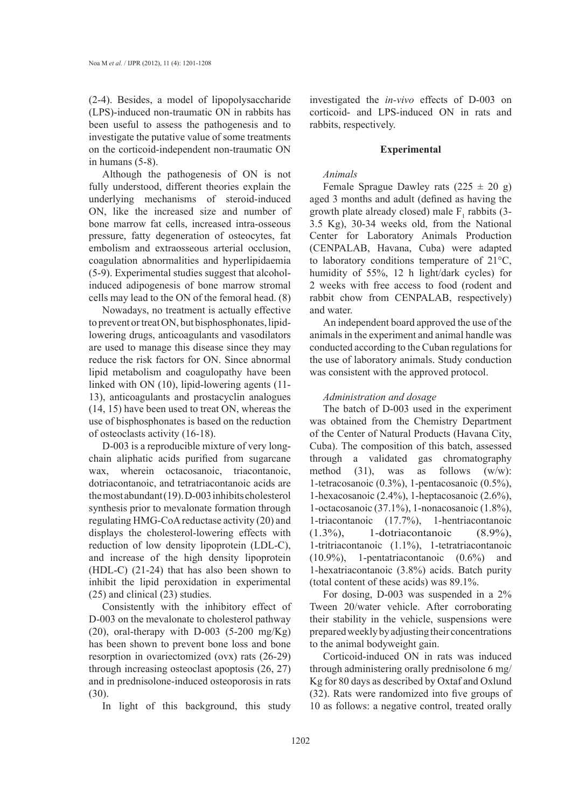(2-4). Besides, a model of lipopolysaccharide (LPS)-induced non-traumatic ON in rabbits has been useful to assess the pathogenesis and to investigate the putative value of some treatments on the corticoid-independent non-traumatic ON in humans (5-8).

Although the pathogenesis of ON is not fully understood, different theories explain the underlying mechanisms of steroid-induced ON, like the increased size and number of bone marrow fat cells, increased intra-osseous pressure, fatty degeneration of osteocytes, fat embolism and extraosseous arterial occlusion, coagulation abnormalities and hyperlipidaemia (5-9). Experimental studies suggest that alcoholinduced adipogenesis of bone marrow stromal cells may lead to the ON of the femoral head. (8)

Nowadays, no treatment is actually effective to prevent or treat ON, but bisphosphonates, lipidlowering drugs, anticoagulants and vasodilators are used to manage this disease since they may reduce the risk factors for ON. Since abnormal lipid metabolism and coagulopathy have been linked with ON (10), lipid-lowering agents (11- 13), anticoagulants and prostacyclin analogues (14, 15) have been used to treat ON, whereas the use of bisphosphonates is based on the reduction of osteoclasts activity (16-18).

D-003 is a reproducible mixture of very longchain aliphatic acids purified from sugarcane wax, wherein octacosanoic, triacontanoic, dotriacontanoic, and tetratriacontanoic acids are the most abundant (19). D-003 inhibits cholesterol synthesis prior to mevalonate formation through regulating HMG-CoA reductase activity (20) and displays the cholesterol-lowering effects with reduction of low density lipoprotein (LDL-C), and increase of the high density lipoprotein (HDL-C) (21-24) that has also been shown to inhibit the lipid peroxidation in experimental (25) and clinical (23) studies.

Consistently with the inhibitory effect of D-003 on the mevalonate to cholesterol pathway (20), oral-therapy with  $D-003$  (5-200 mg/Kg) has been shown to prevent bone loss and bone resorption in ovariectomized (ovx) rats (26-29) through increasing osteoclast apoptosis (26, 27) and in prednisolone-induced osteoporosis in rats (30).

In light of this background, this study

investigated the *in-vivo* effects of D-003 on corticoid- and LPS-induced ON in rats and rabbits, respectively.

## **Experimental**

## *Animals*

Female Sprague Dawley rats  $(225 \pm 20$  g) aged 3 months and adult (defined as having the growth plate already closed) male  $F_1$  rabbits (3-3.5 Kg), 30-34 weeks old, from the National Center for Laboratory Animals Production (CENPALAB, Havana, Cuba) were adapted to laboratory conditions temperature of 21°C, humidity of 55%, 12 h light/dark cycles) for 2 weeks with free access to food (rodent and rabbit chow from CENPALAB, respectively) and water.

An independent board approved the use of the animals in the experiment and animal handle was conducted according to the Cuban regulations for the use of laboratory animals. Study conduction was consistent with the approved protocol.

## *Administration and dosage*

The batch of D-003 used in the experiment was obtained from the Chemistry Department of the Center of Natural Products (Havana City, Cuba). The composition of this batch, assessed through a validated gas chromatography method (31), was as follows  $(w/w)$ : 1-tetracosanoic (0.3%), 1-pentacosanoic (0.5%), 1-hexacosanoic (2.4%), 1-heptacosanoic (2.6%), 1-octacosanoic (37.1%), 1-nonacosanoic (1.8%), 1-triacontanoic (17.7%), 1-hentriacontanoic (1.3%), 1-dotriacontanoic (8.9%), 1-tritriacontanoic (1.1%), 1-tetratriacontanoic (10.9%), 1-pentatriacontanoic (0.6%) and 1-hexatriacontanoic (3.8%) acids. Batch purity (total content of these acids) was 89.1%.

For dosing, D-003 was suspended in a 2% Tween 20/water vehicle. After corroborating their stability in the vehicle, suspensions were prepared weekly by adjusting their concentrations to the animal bodyweight gain.

Corticoid-induced ON in rats was induced through administering orally prednisolone 6 mg/ Kg for 80 days as described by Oxtaf and Oxlund (32). Rats were randomized into five groups of 10 as follows: a negative control, treated orally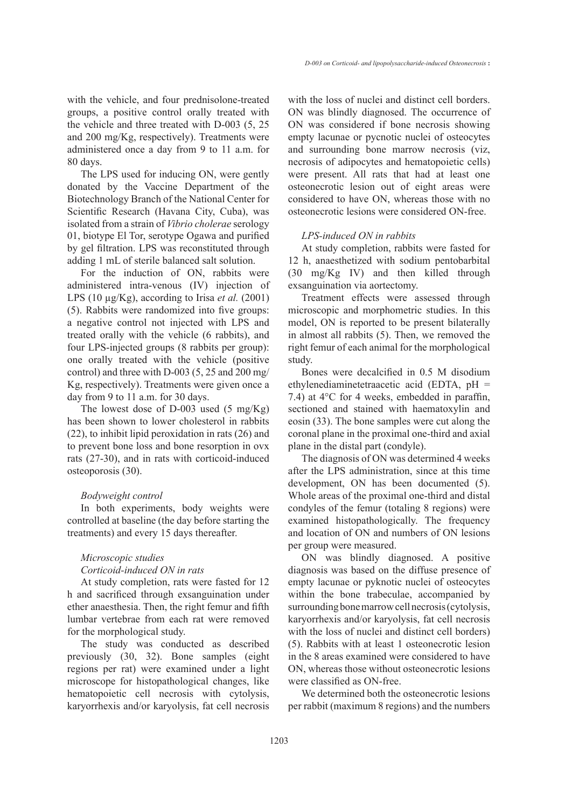with the vehicle, and four prednisolone-treated groups, a positive control orally treated with the vehicle and three treated with D-003 (5, 25 and 200 mg/Kg, respectively). Treatments were administered once a day from 9 to 11 a.m. for 80 days.

The LPS used for inducing ON, were gently donated by the Vaccine Department of the Biotechnology Branch of the National Center for Scientific Research (Havana City, Cuba), was isolated from a strain of *Vibrio cholerae* serology 01, biotype El Tor, serotype Ogawa and purified by gel filtration. LPS was reconstituted through adding 1 mL of sterile balanced salt solution.

For the induction of ON, rabbits were administered intra-venous (IV) injection of LPS (10 µg/Kg), according to Irisa *et al.* (2001) (5). Rabbits were randomized into five groups: a negative control not injected with LPS and treated orally with the vehicle (6 rabbits), and four LPS-injected groups (8 rabbits per group): one orally treated with the vehicle (positive control) and three with D-003 (5, 25 and 200 mg/ Kg, respectively). Treatments were given once a day from 9 to 11 a.m. for 30 days.

The lowest dose of D-003 used  $(5 \text{ mg/Kg})$ has been shown to lower cholesterol in rabbits (22), to inhibit lipid peroxidation in rats (26) and to prevent bone loss and bone resorption in ovx rats (27-30), and in rats with corticoid-induced osteoporosis (30).

## *Bodyweight control*

In both experiments, body weights were controlled at baseline (the day before starting the treatments) and every 15 days thereafter.

## *Microscopic studies*

# *Corticoid-induced ON in rats*

At study completion, rats were fasted for 12 h and sacrificed through exsanguination under ether anaesthesia. Then, the right femur and fifth lumbar vertebrae from each rat were removed for the morphological study.

The study was conducted as described previously (30, 32). Bone samples (eight regions per rat) were examined under a light microscope for histopathological changes, like hematopoietic cell necrosis with cytolysis, karyorrhexis and/or karyolysis, fat cell necrosis with the loss of nuclei and distinct cell borders. ON was blindly diagnosed. The occurrence of ON was considered if bone necrosis showing empty lacunae or pycnotic nuclei of osteocytes and surrounding bone marrow necrosis (viz, necrosis of adipocytes and hematopoietic cells) were present. All rats that had at least one osteonecrotic lesion out of eight areas were considered to have ON, whereas those with no osteonecrotic lesions were considered ON-free.

## *LPS-induced ON in rabbits*

At study completion, rabbits were fasted for 12 h, anaesthetized with sodium pentobarbital (30 mg/Kg IV) and then killed through exsanguination via aortectomy.

Treatment effects were assessed through microscopic and morphometric studies. In this model, ON is reported to be present bilaterally in almost all rabbits (5). Then, we removed the right femur of each animal for the morphological study.

Bones were decalcified in 0.5 M disodium ethylenediaminetetraacetic acid (EDTA, pH = 7.4) at 4°C for 4 weeks, embedded in paraffin, sectioned and stained with haematoxylin and eosin (33). The bone samples were cut along the coronal plane in the proximal one-third and axial plane in the distal part (condyle).

The diagnosis of ON was determined 4 weeks after the LPS administration, since at this time development, ON has been documented (5). Whole areas of the proximal one-third and distal condyles of the femur (totaling 8 regions) were examined histopathologically. The frequency and location of ON and numbers of ON lesions per group were measured.

ON was blindly diagnosed. A positive diagnosis was based on the diffuse presence of empty lacunae or pyknotic nuclei of osteocytes within the bone trabeculae, accompanied by surrounding bone marrow cell necrosis (cytolysis, karyorrhexis and/or karyolysis, fat cell necrosis with the loss of nuclei and distinct cell borders) (5). Rabbits with at least 1 osteonecrotic lesion in the 8 areas examined were considered to have ON, whereas those without osteonecrotic lesions were classified as ON-free.

We determined both the osteonecrotic lesions per rabbit (maximum 8 regions) and the numbers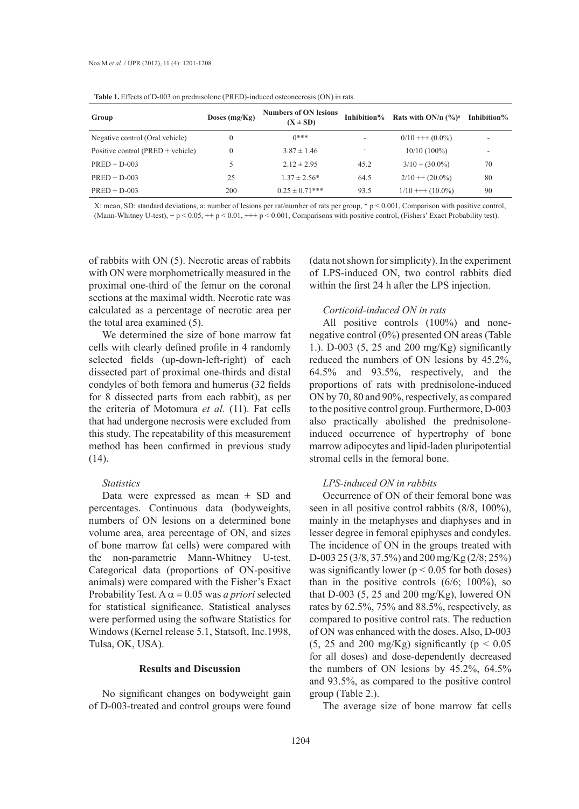| Group                             | Doses $(mg/Kg)$ | <b>Numbers of ON lesions</b><br>$(X \pm SD)$ |      | Inhibition% Rats with ON/n $(\frac{6}{9})^a$ | Inhibition%              |
|-----------------------------------|-----------------|----------------------------------------------|------|----------------------------------------------|--------------------------|
| Negative control (Oral vehicle)   |                 | $()***$                                      |      | $0/10$ +++ $(0.0\%)$                         |                          |
| Positive control (PRED + vehicle) |                 | $3.87 \pm 1.46$                              |      | $10/10(100\%)$                               | $\overline{\phantom{a}}$ |
| $PRED + D-003$                    |                 | $2.12 \pm 2.95$                              | 45.2 | $3/10 + (30.0\%)$                            | 70                       |
| $PRED + D-003$                    | 25              | $1.37 \pm 2.56*$                             | 64.5 | $2/10 + (20.0\%)$                            | 80                       |
| $PRED + D-003$                    | 200             | $0.25 \pm 0.71$ ***                          | 93.5 | $1/10$ +++ $(10.0\%)$                        | 90                       |

**Table 1.** Effects of D-003 on prednisolone (PRED)-induced osteonecrosis (ON) in rats.

X: mean, SD: standard deviations, a: number of lesions per rat/number of rats per group, \* p < 0.001, Comparison with positive control, (Mann-Whitney U-test), +  $p < 0.05$ , + +  $p < 0.01$ , + +  $p < 0.001$ , Comparisons with positive control, (Fishers' Exact Probability test).

of rabbits with ON (5). Necrotic areas of rabbits with ON were morphometrically measured in the proximal one-third of the femur on the coronal sections at the maximal width. Necrotic rate was calculated as a percentage of necrotic area per the total area examined (5).

We determined the size of bone marrow fat cells with clearly defined profile in 4 randomly selected fields (up-down-left-right) of each dissected part of proximal one-thirds and distal condyles of both femora and humerus (32 fields for 8 dissected parts from each rabbit), as per the criteria of Motomura *et al.* (11). Fat cells that had undergone necrosis were excluded from this study. The repeatability of this measurement method has been confirmed in previous study (14).

## *Statistics*

Data were expressed as mean  $\pm$  SD and percentages. Continuous data (bodyweights, numbers of ON lesions on a determined bone volume area, area percentage of ON, and sizes of bone marrow fat cells) were compared with the non-parametric Mann-Whitney U-test. Categorical data (proportions of ON-positive animals) were compared with the Fisher's Exact Probability Test.  $A \alpha = 0.05$  was *a priori* selected for statistical significance. Statistical analyses were performed using the software Statistics for Windows (Kernel release 5.1, Statsoft, Inc.1998, Tulsa, OK, USA).

## **Results and Discussion**

No significant changes on bodyweight gain of D-003-treated and control groups were found (data not shown for simplicity). In the experiment of LPS-induced ON, two control rabbits died within the first 24 h after the LPS injection.

## *Corticoid-induced ON in rats*

All positive controls (100%) and nonenegative control (0%) presented ON areas (Table 1.). D-003 (5, 25 and 200 mg/Kg) significantly reduced the numbers of ON lesions by 45.2%, 64.5% and 93.5%, respectively, and the proportions of rats with prednisolone-induced ON by 70, 80 and 90%, respectively, as compared to the positive control group. Furthermore, D-003 also practically abolished the prednisoloneinduced occurrence of hypertrophy of bone marrow adipocytes and lipid-laden pluripotential stromal cells in the femoral bone.

# *LPS-induced ON in rabbits*

Occurrence of ON of their femoral bone was seen in all positive control rabbits (8/8, 100%), mainly in the metaphyses and diaphyses and in lesser degree in femoral epiphyses and condyles. The incidence of ON in the groups treated with D-003 25 (3/8, 37.5%) and 200 mg/Kg (2/8; 25%) was significantly lower ( $p < 0.05$  for both doses) than in the positive controls  $(6/6; 100\%)$ , so that D-003  $(5, 25 \text{ and } 200 \text{ mg/Kg})$ , lowered ON rates by 62.5%, 75% and 88.5%, respectively, as compared to positive control rats. The reduction of ON was enhanced with the doses. Also, D-003 (5, 25 and 200 mg/Kg) significantly ( $p < 0.05$ ) for all doses) and dose-dependently decreased the numbers of ON lesions by 45.2%, 64.5% and 93.5%, as compared to the positive control group (Table 2.).

The average size of bone marrow fat cells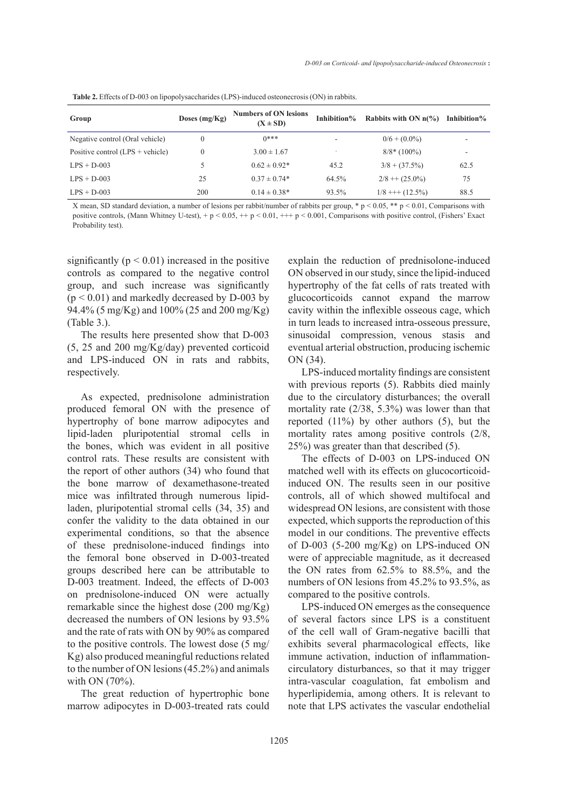| Group                              | Doses $(mg/Kg)$ | <b>Numbers of ON lesions</b><br>$(X \pm SD)$ | Inhibition% | Rabbits with ON $n\frac{6}{6}$ | Inhibition% |  |  |
|------------------------------------|-----------------|----------------------------------------------|-------------|--------------------------------|-------------|--|--|
| Negative control (Oral vehicle)    | $\Omega$        | $()***$                                      |             | $0/6 + (0.0\%)$                |             |  |  |
| Positive control $(LPS + vehicle)$ | $\Omega$        | $3.00 \pm 1.67$                              |             | $8/8$ (100%)                   |             |  |  |
| $LPS + D-003$                      |                 | $0.62 \pm 0.92*$                             | 45.2        | $3/8 + (37.5\%)$               | 62.5        |  |  |
| $LPS + D-003$                      | 25              | $0.37 \pm 0.74*$                             | 64.5%       | $2/8 + (25.0\%)$               | 75          |  |  |
| $LPS + D-003$                      | 200             | $0.14 \pm 0.38*$                             | 93.5%       | $1/8$ +++ $(12.5\%)$           | 88.5        |  |  |

**Table 2.** Effects of D-003 on lipopolysaccharides (LPS)-induced osteonecrosis (ON) in rabbits.

X mean, SD standard deviation, a number of lesions per rabbit/number of rabbits per group, \* p < 0.05, \*\* p < 0.01, Comparisons with positive controls, (Mann Whitney U-test), + p < 0.05, ++ p < 0.01, +++ p < 0.001, Comparisons with positive control, (Fishers' Exact Probability test).

significantly ( $p < 0.01$ ) increased in the positive controls as compared to the negative control group, and such increase was significantly  $(p < 0.01)$  and markedly decreased by D-003 by 94.4% (5 mg/Kg) and 100% (25 and 200 mg/Kg) (Table 3.).

The results here presented show that D-003 (5, 25 and 200 mg/Kg/day) prevented corticoid and LPS-induced ON in rats and rabbits, respectively.

As expected, prednisolone administration produced femoral ON with the presence of hypertrophy of bone marrow adipocytes and lipid-laden pluripotential stromal cells in the bones, which was evident in all positive control rats. These results are consistent with the report of other authors (34) who found that the bone marrow of dexamethasone-treated mice was infiltrated through numerous lipidladen, pluripotential stromal cells (34, 35) and confer the validity to the data obtained in our experimental conditions, so that the absence of these prednisolone-induced findings into the femoral bone observed in D-003-treated groups described here can be attributable to D-003 treatment. Indeed, the effects of D-003 on prednisolone-induced ON were actually remarkable since the highest dose (200 mg/Kg) decreased the numbers of ON lesions by 93.5% and the rate of rats with ON by 90% as compared to the positive controls. The lowest dose (5 mg/ Kg) also produced meaningful reductions related to the number of ON lesions (45.2%) and animals with ON (70%).

The great reduction of hypertrophic bone marrow adipocytes in D-003-treated rats could explain the reduction of prednisolone-induced ON observed in our study, since thelipid-induced hypertrophy of the fat cells of rats treated with glucocorticoids cannot expand the marrow cavity within the inflexible osseous cage, which in turn leads to increased intra-osseous pressure, sinusoidal compression, venous stasis and eventual arterial obstruction, producing ischemic ON (34).

LPS-induced mortality findings are consistent with previous reports (5). Rabbits died mainly due to the circulatory disturbances; the overall mortality rate (2/38, 5.3%) was lower than that reported (11%) by other authors (5), but the mortality rates among positive controls (2/8, 25%) was greater than that described (5).

The effects of D-003 on LPS-induced ON matched well with its effects on glucocorticoidinduced ON. The results seen in our positive controls, all of which showed multifocal and widespread ON lesions, are consistent with those expected, which supports the reproduction of this model in our conditions. The preventive effects of D-003 (5-200 mg/Kg) on LPS-induced ON were of appreciable magnitude, as it decreased the ON rates from 62.5% to 88.5%, and the numbers of ON lesions from 45.2% to 93.5%, as compared to the positive controls.

LPS-induced ON emerges as the consequence of several factors since LPS is a constituent of the cell wall of Gram-negative bacilli that exhibits several pharmacological effects, like immune activation, induction of inflammationcirculatory disturbances, so that it may trigger intra-vascular coagulation, fat embolism and hyperlipidemia, among others. It is relevant to note that LPS activates the vascular endothelial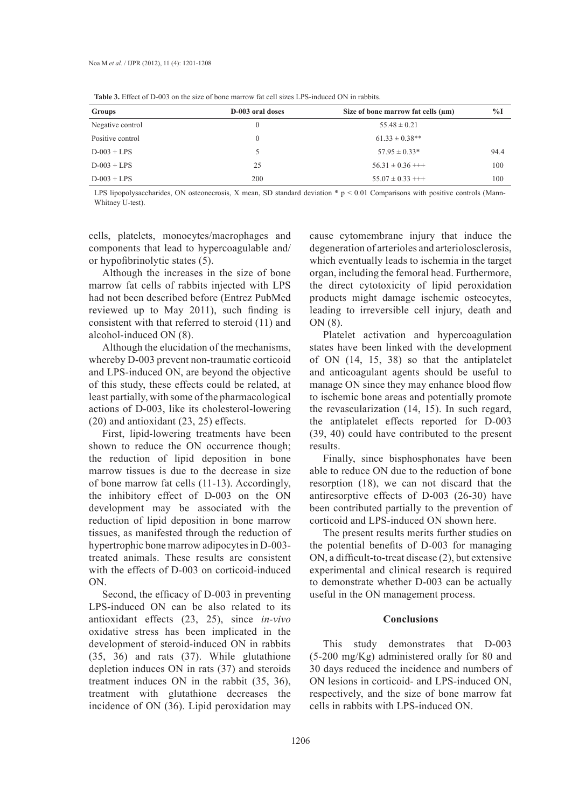| Groups           | D-003 oral doses | Size of bone marrow fat cells $(\mu m)$ | $\%$ I |
|------------------|------------------|-----------------------------------------|--------|
| Negative control | $\Omega$         | $55.48 \pm 0.21$                        |        |
| Positive control | $\Omega$         | $61.33 \pm 0.38$ **                     |        |
| $D-003 + LPS$    | ↖                | $57.95 \pm 0.33*$                       | 94.4   |
| $D-003 + LPS$    | 25               | $56.31 \pm 0.36$ +++                    | 100    |
| $D-003 + LPS$    | 200              | $55.07 \pm 0.33$ +++                    | 100    |

**Table 3.** Effect of D-003 on the size of bone marrow fat cell sizes LPS-induced ON in rabbits.

LPS lipopolysaccharides, ON osteonecrosis, X mean, SD standard deviation  $* p < 0.01$  Comparisons with positive controls (Mann-Whitney U-test).

cells, platelets, monocytes/macrophages and components that lead to hypercoagulable and/ or hypofibrinolytic states (5).

Although the increases in the size of bone marrow fat cells of rabbits injected with LPS had not been described before (Entrez PubMed reviewed up to May 2011), such finding is consistent with that referred to steroid (11) and alcohol-induced ON (8).

Although the elucidation of the mechanisms, whereby D-003 prevent non-traumatic corticoid and LPS-induced ON, are beyond the objective of this study, these effects could be related, at least partially, with some of the pharmacological actions of D-003, like its cholesterol-lowering (20) and antioxidant (23, 25) effects.

First, lipid-lowering treatments have been shown to reduce the ON occurrence though; the reduction of lipid deposition in bone marrow tissues is due to the decrease in size of bone marrow fat cells (11-13). Accordingly, the inhibitory effect of D-003 on the ON development may be associated with the reduction of lipid deposition in bone marrow tissues, as manifested through the reduction of hypertrophic bone marrow adipocytes in D-003 treated animals. These results are consistent with the effects of D-003 on corticoid-induced ON.

Second, the efficacy of D-003 in preventing LPS-induced ON can be also related to its antioxidant effects (23, 25), since *in-vivo* oxidative stress has been implicated in the development of steroid-induced ON in rabbits (35, 36) and rats (37). While glutathione depletion induces ON in rats (37) and steroids treatment induces ON in the rabbit (35, 36), treatment with glutathione decreases the incidence of ON (36). Lipid peroxidation may

cause cytomembrane injury that induce the degeneration of arterioles and arteriolosclerosis, which eventually leads to ischemia in the target organ, including the femoral head. Furthermore, the direct cytotoxicity of lipid peroxidation products might damage ischemic osteocytes, leading to irreversible cell injury, death and ON (8).

Platelet activation and hypercoagulation states have been linked with the development of ON (14, 15, 38) so that the antiplatelet and anticoagulant agents should be useful to manage ON since they may enhance blood flow to ischemic bone areas and potentially promote the revascularization (14, 15). In such regard, the antiplatelet effects reported for D-003 (39, 40) could have contributed to the present results.

Finally, since bisphosphonates have been able to reduce ON due to the reduction of bone resorption (18), we can not discard that the antiresorptive effects of D-003 (26-30) have been contributed partially to the prevention of corticoid and LPS-induced ON shown here.

The present results merits further studies on the potential benefits of D-003 for managing ON, a difficult-to-treat disease (2), but extensive experimental and clinical research is required to demonstrate whether D-003 can be actually useful in the ON management process.

## **Conclusions**

This study demonstrates that D-003 (5-200 mg/Kg) administered orally for 80 and 30 days reduced the incidence and numbers of ON lesions in corticoid- and LPS-induced ON, respectively, and the size of bone marrow fat cells in rabbits with LPS-induced ON.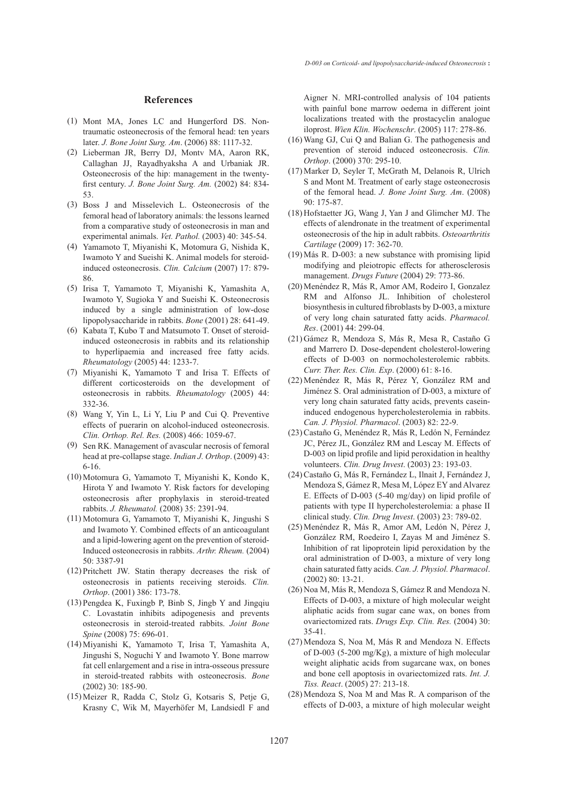#### **References**

- (1) Mont MA, Jones LC and Hungerford DS. Nontraumatic osteonecrosis of the femoral head: ten years later. *J. Bone Joint Surg. Am*. (2006) 88: 1117-32.
- Lieberman JR, Berry DJ, Montv MA, Aaron RK, (2) Callaghan JJ, Rayadhyaksha A and Urbaniak JR. Osteonecrosis of the hip: management in the twentyfirst century. *J. Bone Joint Surg. Am.* (2002) 84: 834- 53.
- Boss J and Misselevich L. Osteonecrosis of the (3) femoral head of laboratory animals: the lessons learned from a comparative study of osteonecrosis in man and experimental animals. *Vet. Pathol.* (2003) 40: 345-54.
- Yamamoto T, Miyanishi K, Motomura G, Nishida K, (4) Iwamoto Y and Sueishi K. Animal models for steroidinduced osteonecrosis. *Clin. Calcium* (2007) 17: 879- 86.
- Irisa T, Yamamoto T, Miyanishi K, Yamashita A, (5) Iwamoto Y, Sugioka Y and Sueishi K. Osteonecrosis induced by a single administration of low-dose lipopolysaccharide in rabbits. *Bone* (2001) 28: 641-49.
- (6) Kabata T, Kubo T and Matsumoto T. Onset of steroidinduced osteonecrosis in rabbits and its relationship to hyperlipaemia and increased free fatty acids. *Rheumatology* (2005) 44: 1233-7.
- (7) Miyanishi K, Yamamoto T and Irisa T. Effects of different corticosteroids on the development of osteonecrosis in rabbits. *Rheumatology* (2005) 44: 332-36.
- Wang Y, Yin L, Li Y, Liu P and Cui Q. Preventive (8) effects of puerarin on alcohol-induced osteonecrosis. *Clin. Orthop. Rel. Res.* (2008) 466: 1059-67.
- (9) Sen RK. Management of avascular necrosis of femoral head at pre-collapse stage. *Indian J. Orthop*. (2009) 43: 6-16.
- (10) Motomura G, Yamamoto T, Miyanishi K, Kondo K, Hirota Y and Iwamoto Y. Risk factors for developing osteonecrosis after prophylaxis in steroid-treated rabbits. *J. Rheumatol.* (2008) 35: 2391-94.
- Motomura G, Yamamoto T, Miyanishi K, Jingushi S (11) and Iwamoto Y. Combined effects of an anticoagulant and a lipid-lowering agent on the prevention of steroid-Induced osteonecrosis in rabbits. *Arthr. Rheum.* (2004) 50: 3387-91
- $(12)$  Pritchett JW. Statin therapy decreases the risk of osteonecrosis in patients receiving steroids. *Clin. Orthop*. (2001) 386: 173-78.
- $(13)$  Pengdea K, Fuxingb P, Binb S, Jingb Y and Jingqiu C. Lovastatin inhibits adipogenesis and prevents osteonecrosis in steroid-treated rabbits. *Joint Bone Spine* (2008) 75: 696-01.
- Miyanishi K, Yamamoto T, Irisa T, Yamashita A, (14) Jingushi S, Noguchi Y and Iwamoto Y. Bone marrow fat cell enlargement and a rise in intra-osseous pressure in steroid-treated rabbits with osteonecrosis. *Bone* (2002) 30: 185-90.
- Meizer R, Radda C, Stolz G, Kotsaris S, Petje G, (15) Krasny C, Wik M, Mayerhöfer M, Landsiedl F and

Aigner N. MRI-controlled analysis of 104 patients with painful bone marrow oedema in different joint localizations treated with the prostacyclin analogue iloprost. *Wien Klin. Wochenschr*. (2005) 117: 278-86.

- Wang GJ, Cui Q and Balian G. The pathogenesis and (16) prevention of steroid induced osteonecrosis. *Clin. Orthop*. (2000) 370: 295-10.
- (17) Marker D, Seyler T, McGrath M, Delanois R, Ulrich S and Mont M. Treatment of early stage osteonecrosis of the femoral head. *J. Bone Joint Surg. Am*. (2008) 90: 175-87.
- (18) Hofstaetter JG, Wang J, Yan J and Glimcher MJ. The effects of alendronate in the treatment of experimental osteonecrosis of the hip in adult rabbits. *Osteoarthritis Cartilage* (2009) 17: 362-70.
- $(19)$  Más R. D-003: a new substance with promising lipid modifying and pleiotropic effects for atherosclerosis management. *Drugs Future* (2004) 29: 773-86.
- (20) Menéndez R, Más R, Amor AM, Rodeiro I, Gonzalez RM and Alfonso JL. Inhibition of cholesterol biosynthesis in cultured fibroblasts by D-003, a mixture of very long chain saturated fatty acids. *Pharmacol. Res*. (2001) 44: 299-04.
- Gámez R, Mendoza S, Más R, Mesa R, Castaño G (21) and Marrero D. Dose-dependent cholesterol-lowering effects of D-003 on normocholesterolemic rabbits. *Curr. Ther. Res. Clin. Exp*. (2000) 61: 8-16.
- Menéndez R, Más R, Pérez Y, González RM and (22) Jiménez S. Oral administration of D-003, a mixture of very long chain saturated fatty acids, prevents caseininduced endogenous hypercholesterolemia in rabbits. *Can. J. Physiol. Pharmacol*. (2003) 82: 22-9.
- (23) Castaño G, Menéndez R, Más R, Ledón N, Fernández JC, Pérez JL, González RM and Lescay M. Effects of D-003 on lipid profile and lipid peroxidation in healthy volunteers. *Clin. Drug Invest*. (2003) 23: 193-03.
- Castaño G, Más R, Fernández L, Ilnait J, Fernández J, (24) Mendoza S, Gámez R, Mesa M, López EY and Alvarez E. Effects of D-003 (5-40 mg/day) on lipid profile of patients with type II hypercholesterolemia: a phase II clinical study. *Clin. Drug Invest*. (2003) 23: 789-02.
- Menéndez R, Más R, Amor AM, Ledón N, Pérez J, (25) González RM, Roedeiro I, Zayas M and Jiménez S. Inhibition of rat lipoprotein lipid peroxidation by the oral administration of D-003, a mixture of very long chain saturated fatty acids. *Can. J. Physiol. Pharmacol*. (2002) 80: 13-21.
- (26) Noa M, Más R, Mendoza S, Gámez R and Mendoza N. Effects of D-003, a mixture of high molecular weight aliphatic acids from sugar cane wax, on bones from ovariectomized rats. *Drugs Exp. Clin. Res.* (2004) 30: 35-41.
- Mendoza S, Noa M, Más R and Mendoza N. Effects (27) of D-003 (5-200 mg/Kg), a mixture of high molecular weight aliphatic acids from sugarcane wax, on bones and bone cell apoptosis in ovariectomized rats. *Int. J. Tiss. React*. (2005) 27: 213-18.
- $(28)$  Mendoza S, Noa M and Mas R. A comparison of the effects of D-003, a mixture of high molecular weight